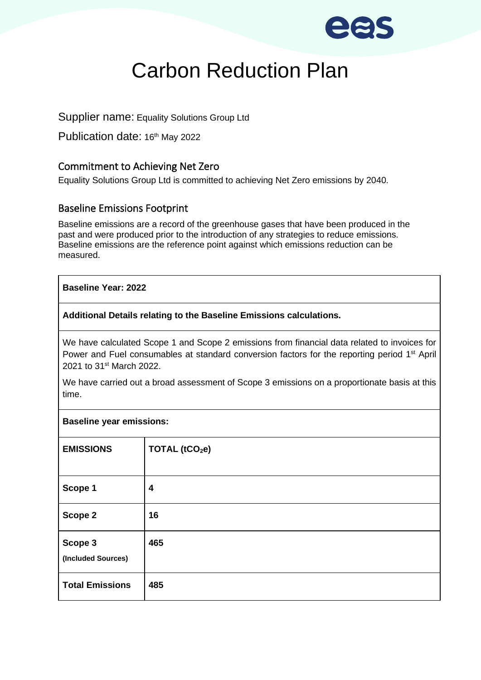

# Carbon Reduction Plan

Supplier name: Equality Solutions Group Ltd

Publication date: 16<sup>th</sup> May 2022

# Commitment to Achieving Net Zero

Equality Solutions Group Ltd is committed to achieving Net Zero emissions by 2040.

## Baseline Emissions Footprint

Baseline emissions are a record of the greenhouse gases that have been produced in the past and were produced prior to the introduction of any strategies to reduce emissions. Baseline emissions are the reference point against which emissions reduction can be measured.

### **Baseline Year: 2022**

### **Additional Details relating to the Baseline Emissions calculations.**

We have calculated Scope 1 and Scope 2 emissions from financial data related to invoices for Power and Fuel consumables at standard conversion factors for the reporting period 1<sup>st</sup> April 2021 to 31st March 2022.

We have carried out a broad assessment of Scope 3 emissions on a proportionate basis at this time.

| <b>Baseline year emissions:</b> |                            |
|---------------------------------|----------------------------|
| <b>EMISSIONS</b>                | TOTAL (tCO <sub>2</sub> e) |
| Scope 1                         | 4                          |
| Scope 2                         | 16                         |
| Scope 3<br>(Included Sources)   | 465                        |
| <b>Total Emissions</b>          | 485                        |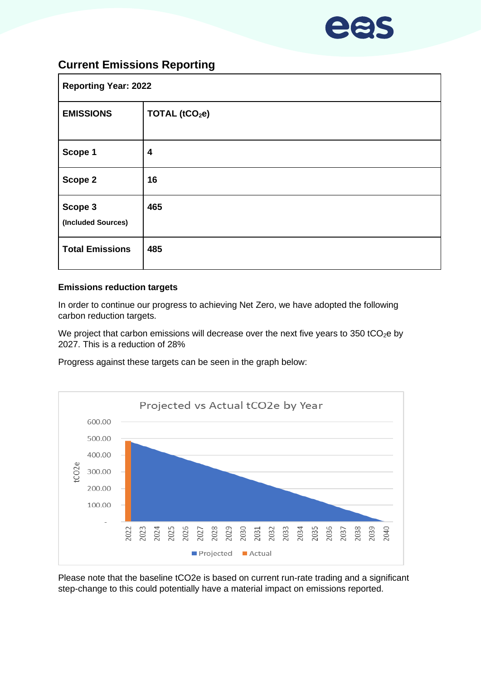

# **Current Emissions Reporting**

| <b>Reporting Year: 2022</b>   |                            |  |
|-------------------------------|----------------------------|--|
| <b>EMISSIONS</b>              | TOTAL (tCO <sub>2</sub> e) |  |
| Scope 1                       | 4                          |  |
| Scope 2                       | 16                         |  |
| Scope 3<br>(Included Sources) | 465                        |  |
| <b>Total Emissions</b>        | 485                        |  |

#### **Emissions reduction targets**

In order to continue our progress to achieving Net Zero, we have adopted the following carbon reduction targets.

We project that carbon emissions will decrease over the next five years to 350 tCO<sub>2</sub>e by 2027. This is a reduction of 28%

Progress against these targets can be seen in the graph below:



Please note that the baseline tCO2e is based on current run-rate trading and a significant step-change to this could potentially have a material impact on emissions reported.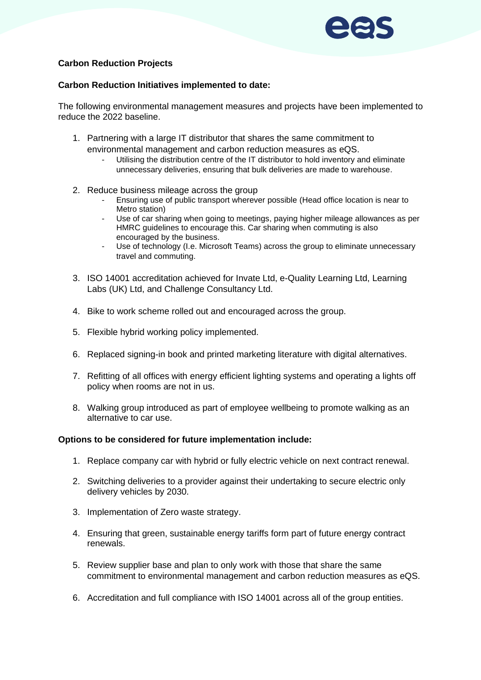#### **Carbon Reduction Projects**

#### **Carbon Reduction Initiatives implemented to date:**

The following environmental management measures and projects have been implemented to reduce the 2022 baseline.

- 1. Partnering with a large IT distributor that shares the same commitment to environmental management and carbon reduction measures as eQS.
	- Utilising the distribution centre of the IT distributor to hold inventory and eliminate unnecessary deliveries, ensuring that bulk deliveries are made to warehouse.
- 2. Reduce business mileage across the group
	- Ensuring use of public transport wherever possible (Head office location is near to Metro station)
	- Use of car sharing when going to meetings, paying higher mileage allowances as per HMRC guidelines to encourage this. Car sharing when commuting is also encouraged by the business.
	- Use of technology (I.e. Microsoft Teams) across the group to eliminate unnecessary travel and commuting.
- 3. ISO 14001 accreditation achieved for Invate Ltd, e-Quality Learning Ltd, Learning Labs (UK) Ltd, and Challenge Consultancy Ltd.
- 4. Bike to work scheme rolled out and encouraged across the group.
- 5. Flexible hybrid working policy implemented.
- 6. Replaced signing-in book and printed marketing literature with digital alternatives.
- 7. Refitting of all offices with energy efficient lighting systems and operating a lights off policy when rooms are not in us.
- 8. Walking group introduced as part of employee wellbeing to promote walking as an alternative to car use.

#### **Options to be considered for future implementation include:**

- 1. Replace company car with hybrid or fully electric vehicle on next contract renewal.
- 2. Switching deliveries to a provider against their undertaking to secure electric only delivery vehicles by 2030.
- 3. Implementation of Zero waste strategy.
- 4. Ensuring that green, sustainable energy tariffs form part of future energy contract renewals.
- 5. Review supplier base and plan to only work with those that share the same commitment to environmental management and carbon reduction measures as eQS.
- 6. Accreditation and full compliance with ISO 14001 across all of the group entities.